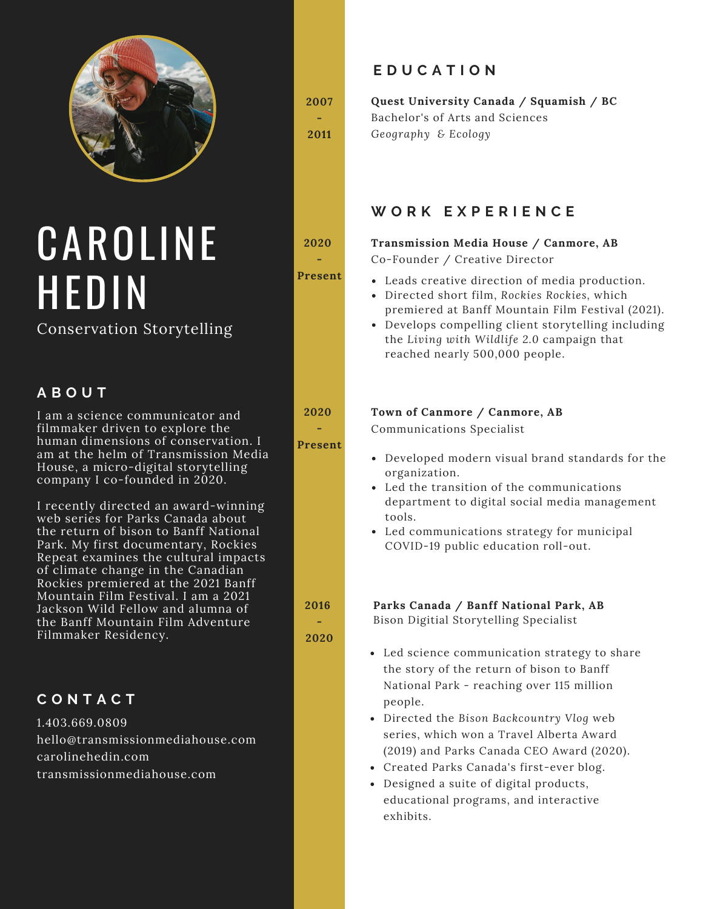

# CAROLINE HEDIN

### Conservation Storytelling

#### **A B O U T**

I am a sci[en](http://instagram.com/the.secret.birder)ce communicator and filmmaker driven to explore the human dimensions of conservation. I am at the helm of [Transmission](http://transmissionmediahouse.com/) Media House, a micro-digital storytelling company I co-founded in 2020.

I recently directed an award-winning web [series](https://www.youtube.com/watch?v=_IlP53ULNO8&list=PLOe6XX2wBaiZ0fwPsEcTDIECXkchMf2bF) for Parks Canada about the return of bison to Banff National Park. My first documentary, Rockies Repeat examines the cultural impacts of climate change in the Canadian Rockies premiered at the 2021 Banff Mountain Film Festival. I am a 2021 Jackson Wild Fellow and alumna of the Banff Mountain Film Adventure Filmmaker Residency.

#### **C O N T A C T**

1.403.669.0809 hello@transmissionmediahouse.com carolinehedin.com transmissionmediahouse.com

**2007 -**

**2011**

**2020**

**-**

**Present**

**2020 -**

**Present**

**E D U C A T I O N**

**Quest University Canada / Squamish / BC** Bachelor's of Arts and Sciences *Geography & Ecology*

### **W O R K E X P E R I E N C E**

## **Transmission Media House / Canmore, AB**

Co-Founder / Creative Director

- Leads creative direction of media production.
- Directed short film, *Rockies Rockies,* which premiered at Banff Mountain Film Festival (2021).
- Develops compelling client storytelling including the *Living with Wildlife 2.0* campaign that reached nearly 500,000 people.

#### **Town of Canmore / Canmore, AB**

Communications Specialist

- Developed modern visual brand standards for the organization.
- Led the transition of the communications department to digital social media management tools.
- Led communications strategy for municipal COVID-19 public education roll-out.

**Parks Canada / Banff National Park, AB**

Bison Digitial Storytelling Specialist

- Led science communication strategy to share the story of the return of bison to Banff National Park - reaching over 115 million people.
- Directed the *Bison Backcountry Vlog* web series, which won a Travel Alberta Award (2019) and Parks Canada CEO Award (2020).
- Created Parks Canada's first-ever blog.
- Designed a suite of digital products, educational programs, and interactive exhibits.

**2016**

**- 2020**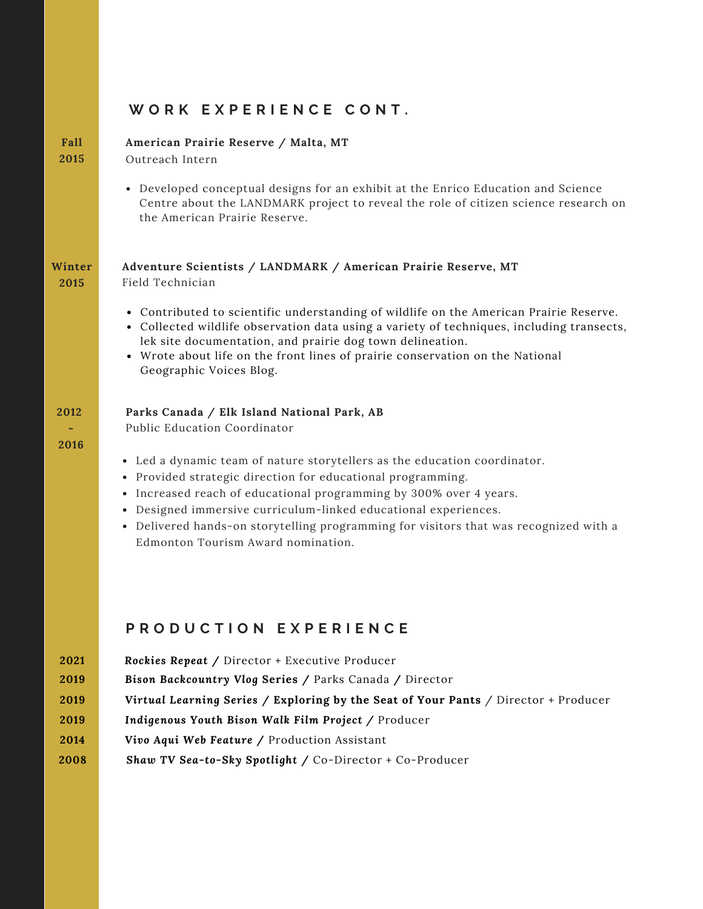### WORK EXPERIENCE CONT.

| Fall<br>2015                                 | American Prairie Reserve / Malta, MT<br>Outreach Intern                                                                                                                                                                                                                                                                                                                                                                                                                                               |
|----------------------------------------------|-------------------------------------------------------------------------------------------------------------------------------------------------------------------------------------------------------------------------------------------------------------------------------------------------------------------------------------------------------------------------------------------------------------------------------------------------------------------------------------------------------|
|                                              | • Developed conceptual designs for an exhibit at the Enrico Education and Science<br>Centre about the LANDMARK project to reveal the role of citizen science research on<br>the American Prairie Reserve.                                                                                                                                                                                                                                                                                             |
| Winter<br>2015                               | Adventure Scientists / LANDMARK / American Prairie Reserve, MT<br>Field Technician<br>• Contributed to scientific understanding of wildlife on the American Prairie Reserve.<br>• Collected wildlife observation data using a variety of techniques, including transects,<br>lek site documentation, and prairie dog town delineation.<br>• Wrote about life on the front lines of prairie conservation on the National<br>Geographic Voices Blog.                                                    |
| 2012<br>2016                                 | Parks Canada / Elk Island National Park, AB<br>Public Education Coordinator<br>• Led a dynamic team of nature storytellers as the education coordinator.<br>• Provided strategic direction for educational programming.<br>Increased reach of educational programming by 300% over 4 years.<br>٠<br>Designed immersive curriculum-linked educational experiences.<br>٠<br>• Delivered hands-on storytelling programming for visitors that was recognized with a<br>Edmonton Tourism Award nomination. |
|                                              | PRODUCTION EXPERIENCE                                                                                                                                                                                                                                                                                                                                                                                                                                                                                 |
| 2021<br>2019<br>2019<br>2019<br>2014<br>2008 | Rockies Repeat / Director + Executive Producer<br>Bison Backcountry Vlog Series / Parks Canada / Director<br>Virtual Learning Series / Exploring by the Seat of Your Pants / Director + Producer<br>Indigenous Youth Bison Walk Film Project / Producer<br>Vivo Aqui Web Feature / Production Assistant<br>Shaw TV Sea-to-Sky Spotlight / Co-Director + Co-Producer                                                                                                                                   |
|                                              |                                                                                                                                                                                                                                                                                                                                                                                                                                                                                                       |